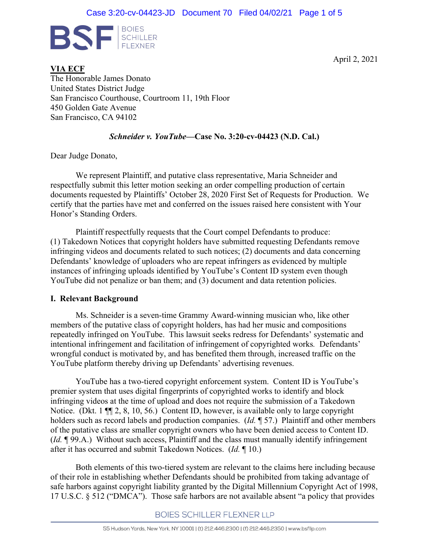

April 2, 2021

**VIA ECF** The Honorable James Donato United States District Judge San Francisco Courthouse, Courtroom 11, 19th Floor 450 Golden Gate Avenue San Francisco, CA 94102

#### *Schneider v. YouTube***—Case No. 3:20-cv-04423 (N.D. Cal.)**

Dear Judge Donato,

 We represent Plaintiff, and putative class representative, Maria Schneider and respectfully submit this letter motion seeking an order compelling production of certain documents requested by Plaintiffs' October 28, 2020 First Set of Requests for Production. We certify that the parties have met and conferred on the issues raised here consistent with Your Honor's Standing Orders.

Plaintiff respectfully requests that the Court compel Defendants to produce: (1) Takedown Notices that copyright holders have submitted requesting Defendants remove infringing videos and documents related to such notices; (2) documents and data concerning Defendants' knowledge of uploaders who are repeat infringers as evidenced by multiple instances of infringing uploads identified by YouTube's Content ID system even though YouTube did not penalize or ban them; and (3) document and data retention policies.

#### **I. Relevant Background**

Ms. Schneider is a seven-time Grammy Award-winning musician who, like other members of the putative class of copyright holders, has had her music and compositions repeatedly infringed on YouTube. This lawsuit seeks redress for Defendants' systematic and intentional infringement and facilitation of infringement of copyrighted works*.* Defendants' wrongful conduct is motivated by, and has benefited them through, increased traffic on the YouTube platform thereby driving up Defendants' advertising revenues.

YouTube has a two-tiered copyright enforcement system. Content ID is YouTube's premier system that uses digital fingerprints of copyrighted works to identify and block infringing videos at the time of upload and does not require the submission of a Takedown Notice. (Dkt. 1  $\P$ , 2, 8, 10, 56.) Content ID, however, is available only to large copyright holders such as record labels and production companies. (*Id.* ¶ 57.) Plaintiff and other members of the putative class are smaller copyright owners who have been denied access to Content ID. (*Id.* ¶ 99.A.) Without such access, Plaintiff and the class must manually identify infringement after it has occurred and submit Takedown Notices. (*Id.* ¶ 10.)

Both elements of this two-tiered system are relevant to the claims here including because of their role in establishing whether Defendants should be prohibited from taking advantage of safe harbors against copyright liability granted by the Digital Millennium Copyright Act of 1998, 17 U.S.C. § 512 ("DMCA"). Those safe harbors are not available absent "a policy that provides

#### **BOIES SCHILLER FLEXNER LLP**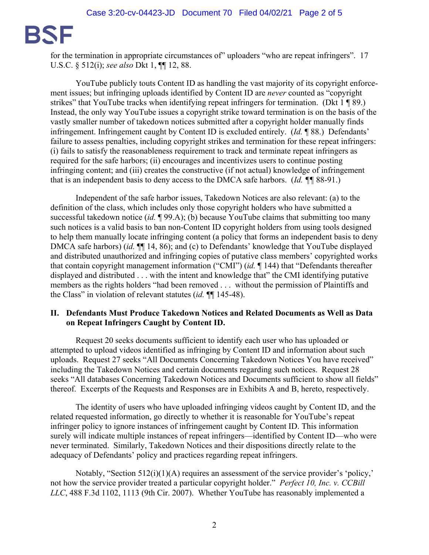

for the termination in appropriate circumstances of" uploaders "who are repeat infringers". 17 U.S.C. § 512(i); *see also* Dkt 1, ¶¶ 12, 88.

YouTube publicly touts Content ID as handling the vast majority of its copyright enforcement issues; but infringing uploads identified by Content ID are *never* counted as "copyright strikes" that YouTube tracks when identifying repeat infringers for termination. (Dkt 1 ¶ 89.) Instead, the only way YouTube issues a copyright strike toward termination is on the basis of the vastly smaller number of takedown notices submitted after a copyright holder manually finds infringement. Infringement caught by Content ID is excluded entirely. (*Id.* ¶ 88.) Defendants' failure to assess penalties, including copyright strikes and termination for these repeat infringers: (i) fails to satisfy the reasonableness requirement to track and terminate repeat infringers as required for the safe harbors; (ii) encourages and incentivizes users to continue posting infringing content; and (iii) creates the constructive (if not actual) knowledge of infringement that is an independent basis to deny access to the DMCA safe harbors. (*Id. ¶¶* 88-91.)

 Independent of the safe harbor issues, Takedown Notices are also relevant: (a) to the definition of the class, which includes only those copyright holders who have submitted a successful takedown notice *(id.* 199.A); (b) because YouTube claims that submitting too many such notices is a valid basis to ban non-Content ID copyright holders from using tools designed to help them manually locate infringing content (a policy that forms an independent basis to deny DMCA safe harbors) (*id.*  $\P$ [14, 86); and (c) to Defendants' knowledge that YouTube displayed and distributed unauthorized and infringing copies of putative class members' copyrighted works that contain copyright management information ("CMI") (*id.* ¶ 144) that "Defendants thereafter displayed and distributed . . . with the intent and knowledge that" the CMI identifying putative members as the rights holders "had been removed . . . without the permission of Plaintiffs and the Class" in violation of relevant statutes (*id.* ¶¶ 145-48).

#### **II. Defendants Must Produce Takedown Notices and Related Documents as Well as Data on Repeat Infringers Caught by Content ID.**

Request 20 seeks documents sufficient to identify each user who has uploaded or attempted to upload videos identified as infringing by Content ID and information about such uploads. Request 27 seeks "All Documents Concerning Takedown Notices You have received" including the Takedown Notices and certain documents regarding such notices. Request 28 seeks "All databases Concerning Takedown Notices and Documents sufficient to show all fields" thereof. Excerpts of the Requests and Responses are in Exhibits A and B, hereto, respectively.

The identity of users who have uploaded infringing videos caught by Content ID, and the related requested information, go directly to whether it is reasonable for YouTube's repeat infringer policy to ignore instances of infringement caught by Content ID. This information surely will indicate multiple instances of repeat infringers—identified by Content ID—who were never terminated. Similarly, Takedown Notices and their dispositions directly relate to the adequacy of Defendants' policy and practices regarding repeat infringers.

Notably, "Section 512(i)(1)(A) requires an assessment of the service provider's 'policy,' not how the service provider treated a particular copyright holder." *Perfect 10, Inc. v. CCBill LLC*, 488 F.3d 1102, 1113 (9th Cir. 2007). Whether YouTube has reasonably implemented a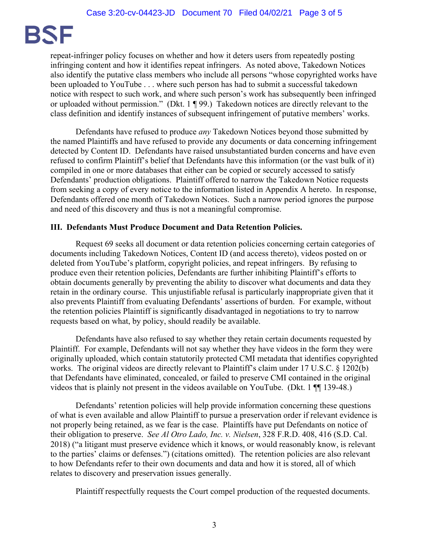

repeat-infringer policy focuses on whether and how it deters users from repeatedly posting infringing content and how it identifies repeat infringers. As noted above, Takedown Notices also identify the putative class members who include all persons "whose copyrighted works have been uploaded to YouTube . . . where such person has had to submit a successful takedown notice with respect to such work, and where such person's work has subsequently been infringed or uploaded without permission." (Dkt. 1 ¶ 99.) Takedown notices are directly relevant to the class definition and identify instances of subsequent infringement of putative members' works.

Defendants have refused to produce *any* Takedown Notices beyond those submitted by the named Plaintiffs and have refused to provide any documents or data concerning infringement detected by Content ID. Defendants have raised unsubstantiated burden concerns and have even refused to confirm Plaintiff's belief that Defendants have this information (or the vast bulk of it) compiled in one or more databases that either can be copied or securely accessed to satisfy Defendants' production obligations. Plaintiff offered to narrow the Takedown Notice requests from seeking a copy of every notice to the information listed in Appendix A hereto. In response, Defendants offered one month of Takedown Notices. Such a narrow period ignores the purpose and need of this discovery and thus is not a meaningful compromise.

#### **III. Defendants Must Produce Document and Data Retention Policies.**

Request 69 seeks all document or data retention policies concerning certain categories of documents including Takedown Notices, Content ID (and access thereto), videos posted on or deleted from YouTube's platform, copyright policies, and repeat infringers. By refusing to produce even their retention policies, Defendants are further inhibiting Plaintiff's efforts to obtain documents generally by preventing the ability to discover what documents and data they retain in the ordinary course. This unjustifiable refusal is particularly inappropriate given that it also prevents Plaintiff from evaluating Defendants' assertions of burden. For example, without the retention policies Plaintiff is significantly disadvantaged in negotiations to try to narrow requests based on what, by policy, should readily be available.

 Defendants have also refused to say whether they retain certain documents requested by Plaintiff. For example, Defendants will not say whether they have videos in the form they were originally uploaded, which contain statutorily protected CMI metadata that identifies copyrighted works. The original videos are directly relevant to Plaintiff's claim under 17 U.S.C. § 1202(b) that Defendants have eliminated, concealed, or failed to preserve CMI contained in the original videos that is plainly not present in the videos available on YouTube. (Dkt. 1 ¶¶ 139-48.)

 Defendants' retention policies will help provide information concerning these questions of what is even available and allow Plaintiff to pursue a preservation order if relevant evidence is not properly being retained, as we fear is the case. Plaintiffs have put Defendants on notice of their obligation to preserve. *See Al Otro Lado, Inc. v. Nielsen*, 328 F.R.D. 408, 416 (S.D. Cal. 2018) ("a litigant must preserve evidence which it knows, or would reasonably know, is relevant to the parties' claims or defenses.") (citations omitted). The retention policies are also relevant to how Defendants refer to their own documents and data and how it is stored, all of which relates to discovery and preservation issues generally.

Plaintiff respectfully requests the Court compel production of the requested documents.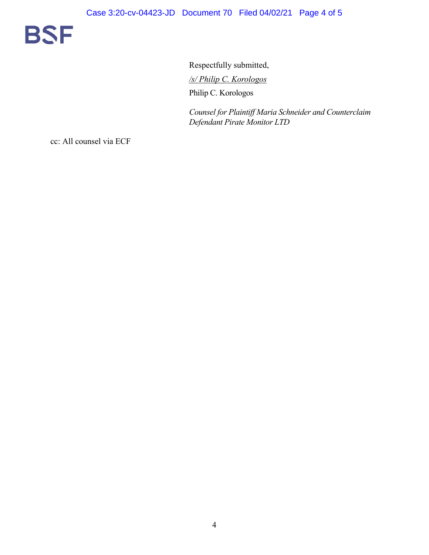

Respectfully submitted, */s/ Philip C. Korologos*  Philip C. Korologos

*Counsel for Plaintiff Maria Schneider and Counterclaim Defendant Pirate Monitor LTD* 

cc: All counsel via ECF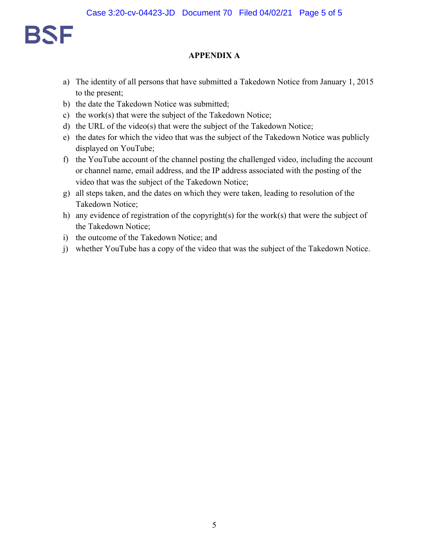

#### **APPENDIX A**

- a) The identity of all persons that have submitted a Takedown Notice from January 1, 2015 to the present;
- b) the date the Takedown Notice was submitted;
- c) the work(s) that were the subject of the Takedown Notice;
- d) the URL of the video(s) that were the subject of the Takedown Notice;
- e) the dates for which the video that was the subject of the Takedown Notice was publicly displayed on YouTube;
- f) the YouTube account of the channel posting the challenged video, including the account or channel name, email address, and the IP address associated with the posting of the video that was the subject of the Takedown Notice;
- g) all steps taken, and the dates on which they were taken, leading to resolution of the Takedown Notice;
- h) any evidence of registration of the copyright(s) for the work(s) that were the subject of the Takedown Notice;
- i) the outcome of the Takedown Notice; and
- j) whether YouTube has a copy of the video that was the subject of the Takedown Notice.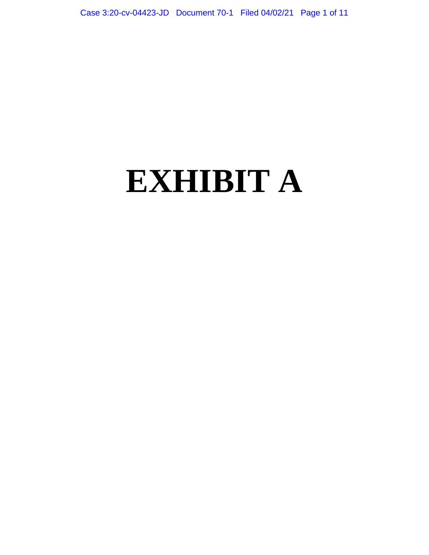# **EXHIBIT A**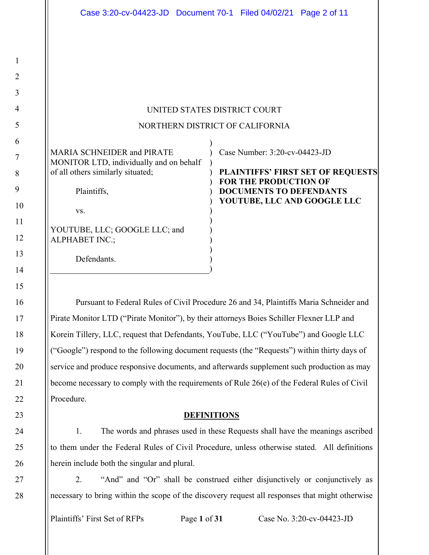#### UNITED STATES DISTRICT COURT

#### NORTHERN DISTRICT OF CALIFORNIA

)

)

) ) ) ) ) ) ) ) ) )

| MARIA SCHNEIDER and PIRATE              |
|-----------------------------------------|
| MONITOR LTD, individually and on behalf |
| of all others similarly situated;       |

Plaintiffs,

vs.

1

2

3

4

5

6

7

8

9

10

11

12

13

14

15

16

17

18

19

20

21

22

23

24

25

26

27

28

YOUTUBE, LLC; GOOGLE LLC; and ALPHABET INC.;

Defendants.

) Case Number: 3:20-cv-04423-JD

) **PLAINTIFFS' FIRST SET OF REQUESTS FOR THE PRODUCTION OF DOCUMENTS TO DEFENDANTS YOUTUBE, LLC AND GOOGLE LLC** 

 Pursuant to Federal Rules of Civil Procedure 26 and 34, Plaintiffs Maria Schneider and Pirate Monitor LTD ("Pirate Monitor"), by their attorneys Boies Schiller Flexner LLP and Korein Tillery, LLC, request that Defendants, YouTube, LLC ("YouTube") and Google LLC ("Google") respond to the following document requests (the "Requests") within thirty days of service and produce responsive documents, and afterwards supplement such production as may become necessary to comply with the requirements of Rule 26(e) of the Federal Rules of Civil Procedure.

#### **DEFINITIONS**

1. The words and phrases used in these Requests shall have the meanings ascribed to them under the Federal Rules of Civil Procedure, unless otherwise stated. All definitions herein include both the singular and plural.

2. "And" and "Or" shall be construed either disjunctively or conjunctively as necessary to bring within the scope of the discovery request all responses that might otherwise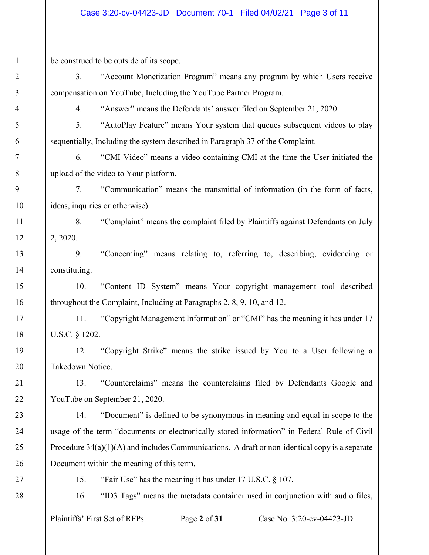be construed to be outside of its scope.

3. "Account Monetization Program" means any program by which Users receive compensation on YouTube, Including the YouTube Partner Program.

4. "Answer" means the Defendants' answer filed on September 21, 2020.

5. "AutoPlay Feature" means Your system that queues subsequent videos to play sequentially, Including the system described in Paragraph 37 of the Complaint.

6. "CMI Video" means a video containing CMI at the time the User initiated the upload of the video to Your platform.

7. "Communication" means the transmittal of information (in the form of facts, ideas, inquiries or otherwise).

8. "Complaint" means the complaint filed by Plaintiffs against Defendants on July 2, 2020.

9. "Concerning" means relating to, referring to, describing, evidencing or constituting.

10. "Content ID System" means Your copyright management tool described throughout the Complaint, Including at Paragraphs 2, 8, 9, 10, and 12.

11. "Copyright Management Information" or "CMI" has the meaning it has under 17 U.S.C. § 1202.

12. "Copyright Strike" means the strike issued by You to a User following a Takedown Notice.

13. "Counterclaims" means the counterclaims filed by Defendants Google and YouTube on September 21, 2020.

14. "Document" is defined to be synonymous in meaning and equal in scope to the usage of the term "documents or electronically stored information" in Federal Rule of Civil Procedure 34(a)(1)(A) and includes Communications. A draft or non-identical copy is a separate Document within the meaning of this term.

15. "Fair Use" has the meaning it has under 17 U.S.C. § 107.

16. "ID3 Tags" means the metadata container used in conjunction with audio files,

Plaintiffs' First Set of RFPs Page **2** of **31** Case No. 3:20-cv-04423-JD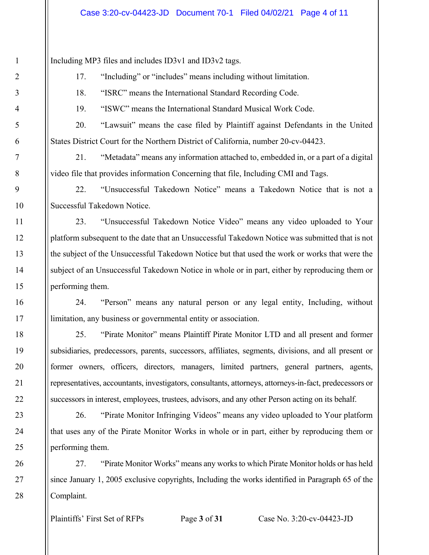Including MP3 files and includes ID3v1 and ID3v2 tags.

1

2

3

4

5

6

7

8

9

10

11

12

13

14

15

16

17

18

19

20

21

22

23

24

25

26

27

28

17. "Including" or "includes" means including without limitation.

18. "ISRC" means the International Standard Recording Code.

19. "ISWC" means the International Standard Musical Work Code.

20. "Lawsuit" means the case filed by Plaintiff against Defendants in the United States District Court for the Northern District of California, number 20-cv-04423.

21. "Metadata" means any information attached to, embedded in, or a part of a digital video file that provides information Concerning that file, Including CMI and Tags.

22. "Unsuccessful Takedown Notice" means a Takedown Notice that is not a Successful Takedown Notice.

23. "Unsuccessful Takedown Notice Video" means any video uploaded to Your platform subsequent to the date that an Unsuccessful Takedown Notice was submitted that is not the subject of the Unsuccessful Takedown Notice but that used the work or works that were the subject of an Unsuccessful Takedown Notice in whole or in part, either by reproducing them or performing them.

24. "Person" means any natural person or any legal entity, Including, without limitation, any business or governmental entity or association.

25. "Pirate Monitor" means Plaintiff Pirate Monitor LTD and all present and former subsidiaries, predecessors, parents, successors, affiliates, segments, divisions, and all present or former owners, officers, directors, managers, limited partners, general partners, agents, representatives, accountants, investigators, consultants, attorneys, attorneys-in-fact, predecessors or successors in interest, employees, trustees, advisors, and any other Person acting on its behalf.

26. "Pirate Monitor Infringing Videos" means any video uploaded to Your platform that uses any of the Pirate Monitor Works in whole or in part, either by reproducing them or performing them.

27. "Pirate Monitor Works" means any works to which Pirate Monitor holds or has held since January 1, 2005 exclusive copyrights, Including the works identified in Paragraph 65 of the Complaint.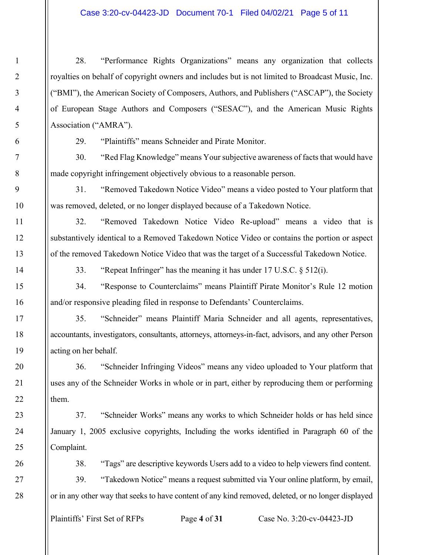28. "Performance Rights Organizations" means any organization that collects royalties on behalf of copyright owners and includes but is not limited to Broadcast Music, Inc. ("BMI"), the American Society of Composers, Authors, and Publishers ("ASCAP"), the Society of European Stage Authors and Composers ("SESAC"), and the American Music Rights Association ("AMRA").

29. "Plaintiffs" means Schneider and Pirate Monitor.

30. "Red Flag Knowledge" means Your subjective awareness of facts that would have made copyright infringement objectively obvious to a reasonable person.

31. "Removed Takedown Notice Video" means a video posted to Your platform that was removed, deleted, or no longer displayed because of a Takedown Notice.

32. "Removed Takedown Notice Video Re-upload" means a video that is substantively identical to a Removed Takedown Notice Video or contains the portion or aspect of the removed Takedown Notice Video that was the target of a Successful Takedown Notice.

33. "Repeat Infringer" has the meaning it has under 17 U.S.C. § 512(i).

34. "Response to Counterclaims" means Plaintiff Pirate Monitor's Rule 12 motion and/or responsive pleading filed in response to Defendants' Counterclaims.

35. "Schneider" means Plaintiff Maria Schneider and all agents, representatives, accountants, investigators, consultants, attorneys, attorneys-in-fact, advisors, and any other Person acting on her behalf.

36. "Schneider Infringing Videos" means any video uploaded to Your platform that uses any of the Schneider Works in whole or in part, either by reproducing them or performing them.

37. "Schneider Works" means any works to which Schneider holds or has held since January 1, 2005 exclusive copyrights, Including the works identified in Paragraph 60 of the Complaint.

38. "Tags" are descriptive keywords Users add to a video to help viewers find content.

39. "Takedown Notice" means a request submitted via Your online platform, by email, or in any other way that seeks to have content of any kind removed, deleted, or no longer displayed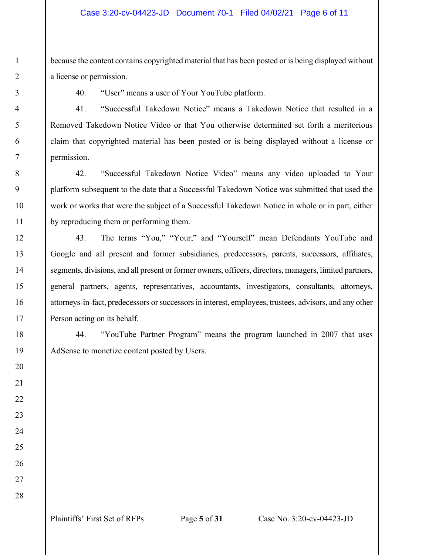because the content contains copyrighted material that has been posted or is being displayed without a license or permission.

40. "User" means a user of Your YouTube platform.

41. "Successful Takedown Notice" means a Takedown Notice that resulted in a Removed Takedown Notice Video or that You otherwise determined set forth a meritorious claim that copyrighted material has been posted or is being displayed without a license or permission.

42. "Successful Takedown Notice Video" means any video uploaded to Your platform subsequent to the date that a Successful Takedown Notice was submitted that used the work or works that were the subject of a Successful Takedown Notice in whole or in part, either by reproducing them or performing them.

43. The terms "You," "Your," and "Yourself" mean Defendants YouTube and Google and all present and former subsidiaries, predecessors, parents, successors, affiliates, segments, divisions, and all present or former owners, officers, directors, managers, limited partners, general partners, agents, representatives, accountants, investigators, consultants, attorneys, attorneys-in-fact, predecessors or successors in interest, employees, trustees, advisors, and any other Person acting on its behalf.

44. "YouTube Partner Program" means the program launched in 2007 that uses AdSense to monetize content posted by Users.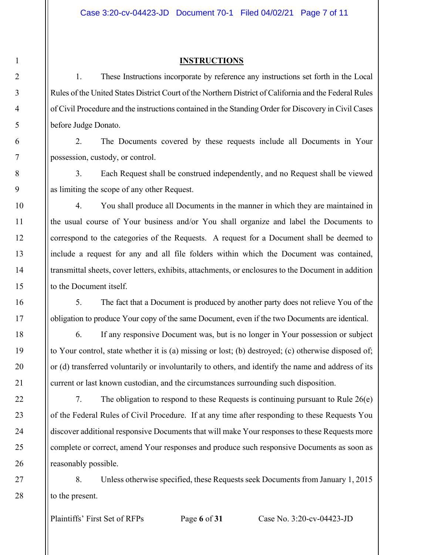#### **INSTRUCTIONS**

1. These Instructions incorporate by reference any instructions set forth in the Local Rules of the United States District Court of the Northern District of California and the Federal Rules of Civil Procedure and the instructions contained in the Standing Order for Discovery in Civil Cases before Judge Donato.

2. The Documents covered by these requests include all Documents in Your possession, custody, or control.

3. Each Request shall be construed independently, and no Request shall be viewed as limiting the scope of any other Request.

4. You shall produce all Documents in the manner in which they are maintained in the usual course of Your business and/or You shall organize and label the Documents to correspond to the categories of the Requests. A request for a Document shall be deemed to include a request for any and all file folders within which the Document was contained, transmittal sheets, cover letters, exhibits, attachments, or enclosures to the Document in addition to the Document itself.

5. The fact that a Document is produced by another party does not relieve You of the obligation to produce Your copy of the same Document, even if the two Documents are identical.

6. If any responsive Document was, but is no longer in Your possession or subject to Your control, state whether it is (a) missing or lost; (b) destroyed; (c) otherwise disposed of; or (d) transferred voluntarily or involuntarily to others, and identify the name and address of its current or last known custodian, and the circumstances surrounding such disposition.

7. The obligation to respond to these Requests is continuing pursuant to Rule 26(e) of the Federal Rules of Civil Procedure. If at any time after responding to these Requests You discover additional responsive Documents that will make Your responses to these Requests more complete or correct, amend Your responses and produce such responsive Documents as soon as reasonably possible.

8. Unless otherwise specified, these Requests seek Documents from January 1, 2015 to the present.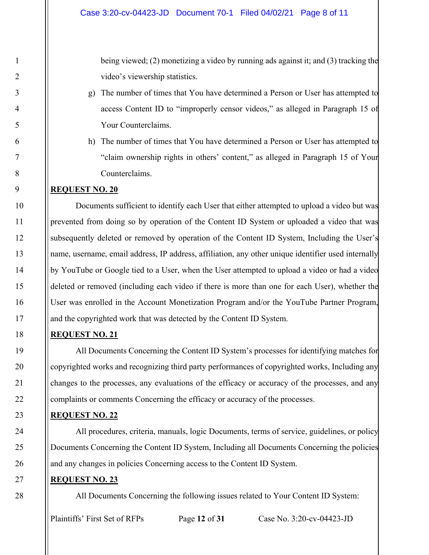being viewed; (2) monetizing a video by running ads against it; and (3) tracking the video's viewership statistics.

- g) The number of times that You have determined a Person or User has attempted to access Content ID to "improperly censor videos," as alleged in Paragraph 15 of Your Counterclaims.
- h) The number of times that You have determined a Person or User has attempted to "claim ownership rights in others' content," as alleged in Paragraph 15 of Your Counterclaims.

#### **REQUEST NO. 20**

Documents sufficient to identify each User that either attempted to upload a video but was prevented from doing so by operation of the Content ID System or uploaded a video that was subsequently deleted or removed by operation of the Content ID System, Including the User's name, username, email address, IP address, affiliation, any other unique identifier used internally by YouTube or Google tied to a User, when the User attempted to upload a video or had a video deleted or removed (including each video if there is more than one for each User), whether the User was enrolled in the Account Monetization Program and/or the YouTube Partner Program, and the copyrighted work that was detected by the Content ID System.

#### **REQUEST NO. 21**

All Documents Concerning the Content ID System's processes for identifying matches for copyrighted works and recognizing third party performances of copyrighted works, Including any changes to the processes, any evaluations of the efficacy or accuracy of the processes, and any complaints or comments Concerning the efficacy or accuracy of the processes.

#### **REQUEST NO. 22**

All procedures, criteria, manuals, logic Documents, terms of service, guidelines, or policy Documents Concerning the Content ID System, Including all Documents Concerning the policies and any changes in policies Concerning access to the Content ID System.

#### **REQUEST NO. 23**

All Documents Concerning the following issues related to Your Content ID System: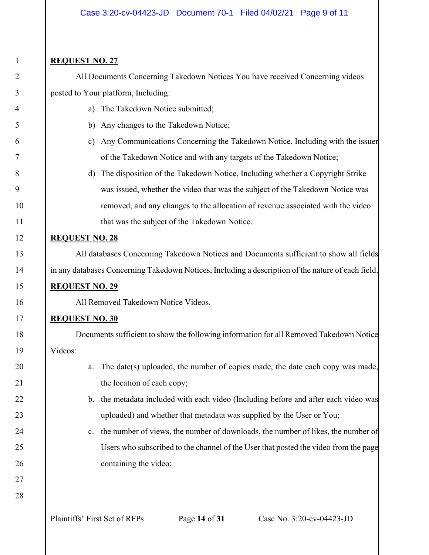#### **REQUEST NO. 27**

All Documents Concerning Takedown Notices You have received Concerning videos posted to Your platform, Including:

- a) The Takedown Notice submitted;
- b) Any changes to the Takedown Notice;
- c) Any Communications Concerning the Takedown Notice, Including with the issuer of the Takedown Notice and with any targets of the Takedown Notice;
- d) The disposition of the Takedown Notice, Including whether a Copyright Strike was issued, whether the video that was the subject of the Takedown Notice was removed, and any changes to the allocation of revenue associated with the video that was the subject of the Takedown Notice.

#### **REQUEST NO. 28**

All databases Concerning Takedown Notices and Documents sufficient to show all fields in any databases Concerning Takedown Notices, Including a description of the nature of each field.

## **REQUEST NO. 29**

All Removed Takedown Notice Videos.

#### **REQUEST NO. 30**

Documents sufficient to show the following information for all Removed Takedown Notice Videos:

- a. The date(s) uploaded, the number of copies made, the date each copy was made, the location of each copy;
- b. the metadata included with each video (Including before and after each video was uploaded) and whether that metadata was supplied by the User or You;
- c. the number of views, the number of downloads, the number of likes, the number of Users who subscribed to the channel of the User that posted the video from the page containing the video;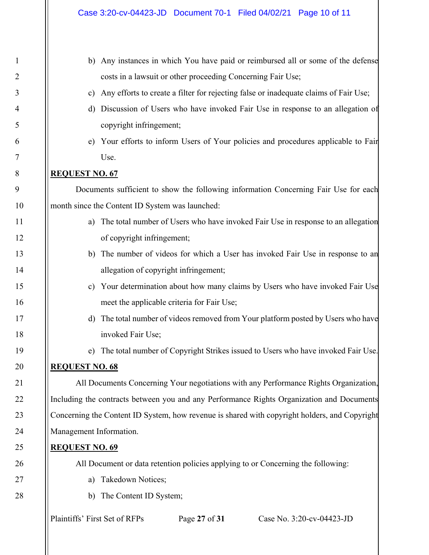| b)                      | Any instances in which You have paid or reimbursed all or some of the defense                 |
|-------------------------|-----------------------------------------------------------------------------------------------|
|                         | costs in a lawsuit or other proceeding Concerning Fair Use;                                   |
| $\mathbf{c})$           | Any efforts to create a filter for rejecting false or inadequate claims of Fair Use;          |
| d)                      | Discussion of Users who have invoked Fair Use in response to an allegation of                 |
|                         | copyright infringement;                                                                       |
| e)                      | Your efforts to inform Users of Your policies and procedures applicable to Fair               |
|                         | Use.                                                                                          |
| <b>REQUEST NO. 67</b>   |                                                                                               |
|                         | Documents sufficient to show the following information Concerning Fair Use for each           |
|                         | month since the Content ID System was launched:                                               |
| a)                      | The total number of Users who have invoked Fair Use in response to an allegation              |
|                         | of copyright infringement;                                                                    |
| b)                      | The number of videos for which a User has invoked Fair Use in response to an                  |
|                         | allegation of copyright infringement;                                                         |
| $\mathbf{c})$           | Your determination about how many claims by Users who have invoked Fair Use                   |
|                         | meet the applicable criteria for Fair Use;                                                    |
| d)                      | The total number of videos removed from Your platform posted by Users who have                |
|                         | invoked Fair Use;                                                                             |
| e)                      | The total number of Copyright Strikes issued to Users who have invoked Fair Use.              |
| <b>REQUEST NO. 68</b>   |                                                                                               |
|                         | All Documents Concerning Your negotiations with any Performance Rights Organization,          |
|                         | Including the contracts between you and any Performance Rights Organization and Documents     |
|                         | Concerning the Content ID System, how revenue is shared with copyright holders, and Copyright |
| Management Information. |                                                                                               |
| <b>REQUEST NO. 69</b>   |                                                                                               |
|                         | All Document or data retention policies applying to or Concerning the following:              |
| a)                      | Takedown Notices;                                                                             |

b) The Content ID System;

1

2

3

4

5

6

7

8

9

10

11

12

13

14

15

16

17

18

19

20

21

22

23

24

25

26

27

28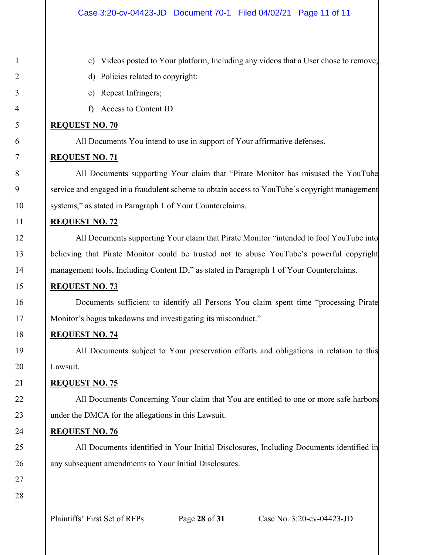- c) Videos posted to Your platform, Including any videos that a User chose to remove;
- d) Policies related to copyright;
- e) Repeat Infringers;
- f) Access to Content ID.

#### **REQUEST NO. 70**

All Documents You intend to use in support of Your affirmative defenses.

#### **REQUEST NO. 71**

All Documents supporting Your claim that "Pirate Monitor has misused the YouTube service and engaged in a fraudulent scheme to obtain access to YouTube's copyright management systems," as stated in Paragraph 1 of Your Counterclaims.

#### **REQUEST NO. 72**

All Documents supporting Your claim that Pirate Monitor "intended to fool YouTube into believing that Pirate Monitor could be trusted not to abuse YouTube's powerful copyright management tools, Including Content ID," as stated in Paragraph 1 of Your Counterclaims.

#### **REQUEST NO. 73**

 Documents sufficient to identify all Persons You claim spent time "processing Pirate Monitor's bogus takedowns and investigating its misconduct."

#### **REQUEST NO. 74**

All Documents subject to Your preservation efforts and obligations in relation to this Lawsuit.

#### **REQUEST NO. 75**

All Documents Concerning Your claim that You are entitled to one or more safe harbors under the DMCA for the allegations in this Lawsuit.

#### **REQUEST NO. 76**

All Documents identified in Your Initial Disclosures, Including Documents identified in any subsequent amendments to Your Initial Disclosures.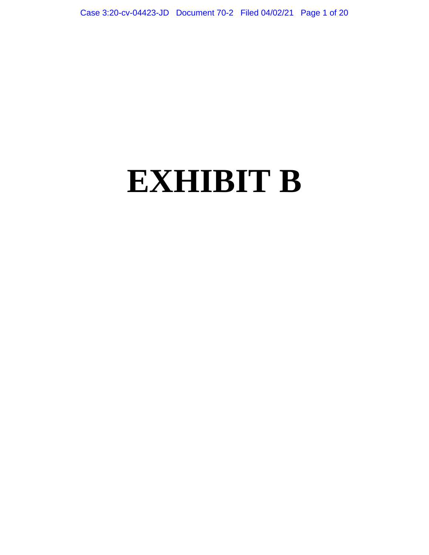# **EXHIBIT B**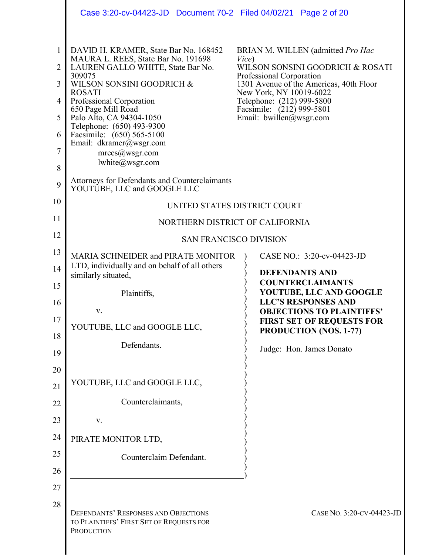|                                           | Case 3:20-cv-04423-JD  Document 70-2  Filed 04/02/21  Page 2 of 20                                                                                                                                                                                                                                                                                                                                                                 |                                                                                                                                                                                                                                                                          |  |
|-------------------------------------------|------------------------------------------------------------------------------------------------------------------------------------------------------------------------------------------------------------------------------------------------------------------------------------------------------------------------------------------------------------------------------------------------------------------------------------|--------------------------------------------------------------------------------------------------------------------------------------------------------------------------------------------------------------------------------------------------------------------------|--|
| 1<br>2<br>3<br>4<br>5<br>6<br>7<br>8<br>9 | DAVID H. KRAMER, State Bar No. 168452<br>MAURA L. REES, State Bar No. 191698<br>LAUREN GALLO WHITE, State Bar No.<br>309075<br>WILSON SONSINI GOODRICH &<br><b>ROSATI</b><br>Professional Corporation<br>650 Page Mill Road<br>Palo Alto, CA 94304-1050<br>Telephone: (650) 493-9300<br>Facsimile: (650) 565-5100<br>Email: dkramer@wsgr.com<br>mrees@wsgr.com<br>lwhite@wsgr.com<br>Attorneys for Defendants and Counterclaimants | BRIAN M. WILLEN (admitted Pro Hac<br>Vice)<br>WILSON SONSINI GOODRICH & ROSATI<br>Professional Corporation<br>1301 Avenue of the Americas, 40th Floor<br>New York, NY 10019-6022<br>Telephone: (212) 999-5800<br>Facsimile: (212) 999-5801<br>Email: $b$ willen@wsgr.com |  |
| 10                                        | YOUTUBE, LLC and GOOGLE LLC                                                                                                                                                                                                                                                                                                                                                                                                        |                                                                                                                                                                                                                                                                          |  |
| 11                                        | UNITED STATES DISTRICT COURT                                                                                                                                                                                                                                                                                                                                                                                                       |                                                                                                                                                                                                                                                                          |  |
| 12                                        | NORTHERN DISTRICT OF CALIFORNIA                                                                                                                                                                                                                                                                                                                                                                                                    |                                                                                                                                                                                                                                                                          |  |
| 13                                        |                                                                                                                                                                                                                                                                                                                                                                                                                                    | <b>SAN FRANCISCO DIVISION</b>                                                                                                                                                                                                                                            |  |
| 14                                        | MARIA SCHNEIDER and PIRATE MONITOR<br>LTD, individually and on behalf of all others                                                                                                                                                                                                                                                                                                                                                | CASE NO.: 3:20-cv-04423-JD                                                                                                                                                                                                                                               |  |
| 15                                        | similarly situated,                                                                                                                                                                                                                                                                                                                                                                                                                | <b>DEFENDANTS AND</b><br><b>COUNTERCLAIMANTS</b>                                                                                                                                                                                                                         |  |
| 16                                        | Plaintiffs,                                                                                                                                                                                                                                                                                                                                                                                                                        | YOUTUBE, LLC AND GOOGLE<br><b>LLC'S RESPONSES AND</b>                                                                                                                                                                                                                    |  |
| 17                                        | V.                                                                                                                                                                                                                                                                                                                                                                                                                                 | <b>OBJECTIONS TO PLAINTIFFS'</b><br><b>FIRST SET OF REQUESTS FOR</b>                                                                                                                                                                                                     |  |
| 18                                        | YOUTUBE, LLC and GOOGLE LLC,                                                                                                                                                                                                                                                                                                                                                                                                       | PRODUCTION (NOS. 1-77)                                                                                                                                                                                                                                                   |  |
| 19                                        | Defendants.                                                                                                                                                                                                                                                                                                                                                                                                                        | Judge: Hon. James Donato                                                                                                                                                                                                                                                 |  |
| 20                                        |                                                                                                                                                                                                                                                                                                                                                                                                                                    |                                                                                                                                                                                                                                                                          |  |
| 21                                        | YOUTUBE, LLC and GOOGLE LLC,                                                                                                                                                                                                                                                                                                                                                                                                       |                                                                                                                                                                                                                                                                          |  |
| 22                                        | Counterclaimants,                                                                                                                                                                                                                                                                                                                                                                                                                  |                                                                                                                                                                                                                                                                          |  |
| 23                                        | V.                                                                                                                                                                                                                                                                                                                                                                                                                                 |                                                                                                                                                                                                                                                                          |  |
| 24                                        | PIRATE MONITOR LTD,                                                                                                                                                                                                                                                                                                                                                                                                                |                                                                                                                                                                                                                                                                          |  |
| 25                                        | Counterclaim Defendant.                                                                                                                                                                                                                                                                                                                                                                                                            |                                                                                                                                                                                                                                                                          |  |
| 26                                        |                                                                                                                                                                                                                                                                                                                                                                                                                                    |                                                                                                                                                                                                                                                                          |  |
| 27                                        |                                                                                                                                                                                                                                                                                                                                                                                                                                    |                                                                                                                                                                                                                                                                          |  |
| 28                                        | DEFENDANTS' RESPONSES AND OBJECTIONS<br>TO PLAINTIFFS' FIRST SET OF REQUESTS FOR<br><b>PRODUCTION</b>                                                                                                                                                                                                                                                                                                                              | CASE No. 3:20-CV-04423-JD                                                                                                                                                                                                                                                |  |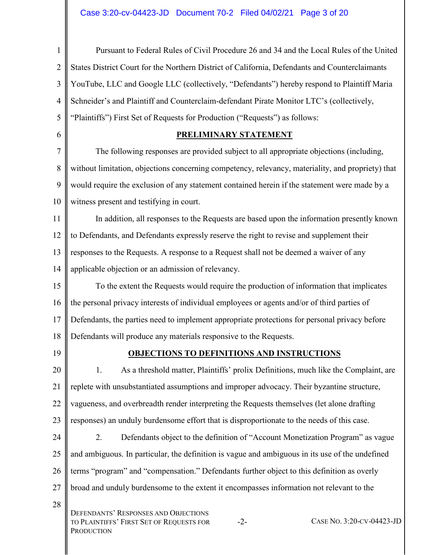| $\mathbf{1}$     | Pursuant to Federal Rules of Civil Procedure 26 and 34 and the Local Rules of the United                                             |
|------------------|--------------------------------------------------------------------------------------------------------------------------------------|
| $\overline{2}$   | States District Court for the Northern District of California, Defendants and Counterclaimants                                       |
| 3                | YouTube, LLC and Google LLC (collectively, "Defendants") hereby respond to Plaintiff Maria                                           |
| $\overline{4}$   | Schneider's and Plaintiff and Counterclaim-defendant Pirate Monitor LTC's (collectively,                                             |
| 5                | "Plaintiffs") First Set of Requests for Production ("Requests") as follows:                                                          |
| 6                | <b>PRELIMINARY STATEMENT</b>                                                                                                         |
| $\boldsymbol{7}$ | The following responses are provided subject to all appropriate objections (including,                                               |
| 8                | without limitation, objections concerning competency, relevancy, materiality, and propriety) that                                    |
| 9                | would require the exclusion of any statement contained herein if the statement were made by a                                        |
| 10               | witness present and testifying in court.                                                                                             |
| 11               | In addition, all responses to the Requests are based upon the information presently known                                            |
| 12               | to Defendants, and Defendants expressly reserve the right to revise and supplement their                                             |
| 13               | responses to the Requests. A response to a Request shall not be deemed a waiver of any                                               |
| 14               | applicable objection or an admission of relevancy.                                                                                   |
| 15               | To the extent the Requests would require the production of information that implicates                                               |
| 16               | the personal privacy interests of individual employees or agents and/or of third parties of                                          |
| 17               | Defendants, the parties need to implement appropriate protections for personal privacy before                                        |
| 18               | Defendants will produce any materials responsive to the Requests.                                                                    |
| 19               | <b>OBJECTIONS TO DEFINITIONS AND INSTRUCTIONS</b>                                                                                    |
| 20               | As a threshold matter, Plaintiffs' prolix Definitions, much like the Complaint, are<br>1.                                            |
| 21               | replete with unsubstantiated assumptions and improper advocacy. Their byzantine structure,                                           |
| 22               | vagueness, and overbreadth render interpreting the Requests themselves (let alone drafting                                           |
| 23               | responses) an unduly burdensome effort that is disproportionate to the needs of this case.                                           |
| 24               | 2.<br>Defendants object to the definition of "Account Monetization Program" as vague                                                 |
| 25               | and ambiguous. In particular, the definition is vague and ambiguous in its use of the undefined                                      |
| 26               | terms "program" and "compensation." Defendants further object to this definition as overly                                           |
| 27               | broad and unduly burdensome to the extent it encompasses information not relevant to the                                             |
| 28               | DEFENDANTS' RESPONSES AND OBJECTIONS<br>CASE NO. 3:20-CV-04423-JD<br>TO PLAINTIFFS' FIRST SET OF REQUESTS FOR<br>$-2-$<br>PRODUCTION |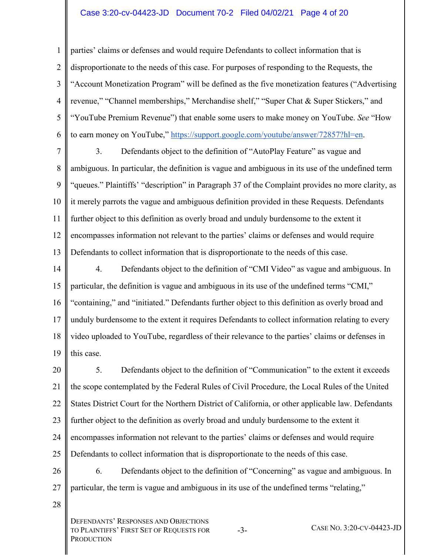#### Case 3:20-cv-04423-JD Document 70-2 Filed 04/02/21 Page 4 of 20

1  $\mathfrak{D}$ 3 4 5 6 parties' claims or defenses and would require Defendants to collect information that is disproportionate to the needs of this case. For purposes of responding to the Requests, the "Account Monetization Program" will be defined as the five monetization features ("Advertising revenue," "Channel memberships," Merchandise shelf," "Super Chat & Super Stickers," and "YouTube Premium Revenue") that enable some users to make money on YouTube. *See* "How to earn money on YouTube," [https://support.google.com/youtube/answer/72857?hl=en.](https://support.google.com/youtube/answer/72857?hl=en)

7

8 9 10 11 12 13 3. Defendants object to the definition of "AutoPlay Feature" as vague and ambiguous. In particular, the definition is vague and ambiguous in its use of the undefined term "queues." Plaintiffs' "description" in Paragraph 37 of the Complaint provides no more clarity, as it merely parrots the vague and ambiguous definition provided in these Requests. Defendants further object to this definition as overly broad and unduly burdensome to the extent it encompasses information not relevant to the parties' claims or defenses and would require Defendants to collect information that is disproportionate to the needs of this case.

14 15 16 17 18 19 4. Defendants object to the definition of "CMI Video" as vague and ambiguous. In particular, the definition is vague and ambiguous in its use of the undefined terms "CMI," "containing," and "initiated." Defendants further object to this definition as overly broad and unduly burdensome to the extent it requires Defendants to collect information relating to every video uploaded to YouTube, regardless of their relevance to the parties' claims or defenses in this case.

20 21 22 23 24 25 5. Defendants object to the definition of "Communication" to the extent it exceeds the scope contemplated by the Federal Rules of Civil Procedure, the Local Rules of the United States District Court for the Northern District of California, or other applicable law. Defendants further object to the definition as overly broad and unduly burdensome to the extent it encompasses information not relevant to the parties' claims or defenses and would require Defendants to collect information that is disproportionate to the needs of this case.

26 27 6. Defendants object to the definition of "Concerning" as vague and ambiguous. In particular, the term is vague and ambiguous in its use of the undefined terms "relating,"

28

DEFENDANTS' RESPONSES AND OBJECTIONS TO PLAINTIFFS' FIRST SET OF REQUESTS FOR **PRODUCTION** 

-3- CASE NO. 3:20-CV-04423-JD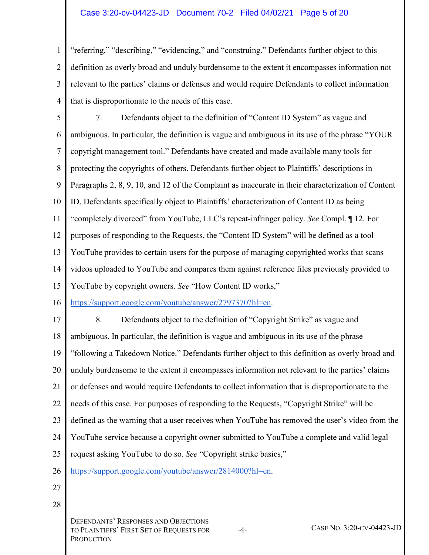#### Case 3:20-cv-04423-JD Document 70-2 Filed 04/02/21 Page 5 of 20

1  $\mathfrak{D}$ 3 4 "referring," "describing," "evidencing," and "construing." Defendants further object to this definition as overly broad and unduly burdensome to the extent it encompasses information not relevant to the parties' claims or defenses and would require Defendants to collect information that is disproportionate to the needs of this case.

5 6 7 8 9 10 11 12 13 14 15 7. Defendants object to the definition of "Content ID System" as vague and ambiguous. In particular, the definition is vague and ambiguous in its use of the phrase "YOUR copyright management tool." Defendants have created and made available many tools for protecting the copyrights of others. Defendants further object to Plaintiffs' descriptions in Paragraphs 2, 8, 9, 10, and 12 of the Complaint as inaccurate in their characterization of Content ID. Defendants specifically object to Plaintiffs' characterization of Content ID as being "completely divorced" from YouTube, LLC's repeat-infringer policy. *See* Compl. ¶ 12. For purposes of responding to the Requests, the "Content ID System" will be defined as a tool YouTube provides to certain users for the purpose of managing copyrighted works that scans videos uploaded to YouTube and compares them against reference files previously provided to YouTube by copyright owners. *See* "How Content ID works,"

16 [https://support.google.com/youtube/answer/2797370?hl=en.](https://support.google.com/youtube/answer/2797370?hl=en)

17 18 19 20 21 22 23 24 25 26 8. Defendants object to the definition of "Copyright Strike" as vague and ambiguous. In particular, the definition is vague and ambiguous in its use of the phrase "following a Takedown Notice." Defendants further object to this definition as overly broad and unduly burdensome to the extent it encompasses information not relevant to the parties' claims or defenses and would require Defendants to collect information that is disproportionate to the needs of this case. For purposes of responding to the Requests, "Copyright Strike" will be defined as the warning that a user receives when YouTube has removed the user's video from the YouTube service because a copyright owner submitted to YouTube a complete and valid legal request asking YouTube to do so. *See* "Copyright strike basics," [https://support.google.com/youtube/answer/2814000?hl=en.](https://support.google.com/youtube/answer/2814000?hl=en)

- 27
- 28

DEFENDANTS' RESPONSES AND OBJECTIONS TO PLAINTIFFS' FIRST SET OF REQUESTS FOR **PRODUCTION** 

-4- CASE NO. 3:20-CV-04423-JD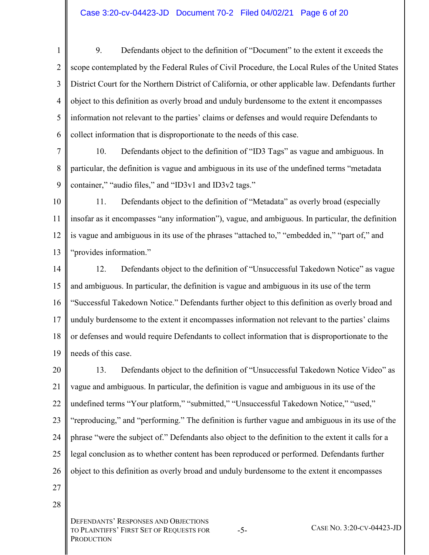- 1  $\mathfrak{D}$ 3 4 5 6 9. Defendants object to the definition of "Document" to the extent it exceeds the scope contemplated by the Federal Rules of Civil Procedure, the Local Rules of the United States District Court for the Northern District of California, or other applicable law. Defendants further object to this definition as overly broad and unduly burdensome to the extent it encompasses information not relevant to the parties' claims or defenses and would require Defendants to collect information that is disproportionate to the needs of this case.
- 7 8 9 10. Defendants object to the definition of "ID3 Tags" as vague and ambiguous. In particular, the definition is vague and ambiguous in its use of the undefined terms "metadata container," "audio files," and "ID3v1 and ID3v2 tags."
- 10 11 12 13 11. Defendants object to the definition of "Metadata" as overly broad (especially insofar as it encompasses "any information"), vague, and ambiguous. In particular, the definition is vague and ambiguous in its use of the phrases "attached to," "embedded in," "part of," and "provides information."
- 14 15 16 17 18 19 12. Defendants object to the definition of "Unsuccessful Takedown Notice" as vague and ambiguous. In particular, the definition is vague and ambiguous in its use of the term "Successful Takedown Notice." Defendants further object to this definition as overly broad and unduly burdensome to the extent it encompasses information not relevant to the parties' claims or defenses and would require Defendants to collect information that is disproportionate to the needs of this case.
- 20 21 22 23 24 25 26 13. Defendants object to the definition of "Unsuccessful Takedown Notice Video" as vague and ambiguous. In particular, the definition is vague and ambiguous in its use of the undefined terms "Your platform," "submitted," "Unsuccessful Takedown Notice," "used," "reproducing," and "performing." The definition is further vague and ambiguous in its use of the phrase "were the subject of." Defendants also object to the definition to the extent it calls for a legal conclusion as to whether content has been reproduced or performed. Defendants further object to this definition as overly broad and unduly burdensome to the extent it encompasses
- 27 28

DEFENDANTS' RESPONSES AND OBJECTIONS TO PLAINTIFFS' FIRST SET OF REQUESTS FOR **PRODUCTION** 

-5- CASE NO. 3:20-CV-04423-JD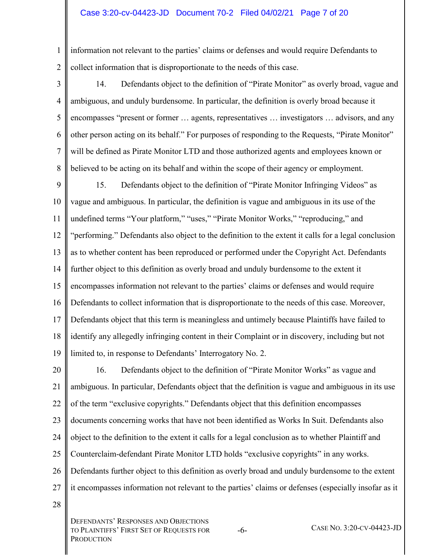#### Case 3:20-cv-04423-JD Document 70-2 Filed 04/02/21 Page 7 of 20

1 2 information not relevant to the parties' claims or defenses and would require Defendants to collect information that is disproportionate to the needs of this case.

3 4 5 6 7 8 14. Defendants object to the definition of "Pirate Monitor" as overly broad, vague and ambiguous, and unduly burdensome. In particular, the definition is overly broad because it encompasses "present or former … agents, representatives … investigators … advisors, and any other person acting on its behalf." For purposes of responding to the Requests, "Pirate Monitor" will be defined as Pirate Monitor LTD and those authorized agents and employees known or believed to be acting on its behalf and within the scope of their agency or employment.

9 10 11 12 13 14 15 16 17 18 19 15. Defendants object to the definition of "Pirate Monitor Infringing Videos" as vague and ambiguous. In particular, the definition is vague and ambiguous in its use of the undefined terms "Your platform," "uses," "Pirate Monitor Works," "reproducing," and "performing." Defendants also object to the definition to the extent it calls for a legal conclusion as to whether content has been reproduced or performed under the Copyright Act. Defendants further object to this definition as overly broad and unduly burdensome to the extent it encompasses information not relevant to the parties' claims or defenses and would require Defendants to collect information that is disproportionate to the needs of this case. Moreover, Defendants object that this term is meaningless and untimely because Plaintiffs have failed to identify any allegedly infringing content in their Complaint or in discovery, including but not limited to, in response to Defendants' Interrogatory No. 2.

20 21 22 23 24 25 26 27 16. Defendants object to the definition of "Pirate Monitor Works" as vague and ambiguous. In particular, Defendants object that the definition is vague and ambiguous in its use of the term "exclusive copyrights." Defendants object that this definition encompasses documents concerning works that have not been identified as Works In Suit. Defendants also object to the definition to the extent it calls for a legal conclusion as to whether Plaintiff and Counterclaim-defendant Pirate Monitor LTD holds "exclusive copyrights" in any works. Defendants further object to this definition as overly broad and unduly burdensome to the extent it encompasses information not relevant to the parties' claims or defenses (especially insofar as it

28

DEFENDANTS' RESPONSES AND OBJECTIONS TO PLAINTIFFS' FIRST SET OF REQUESTS FOR **PRODUCTION** 

-6- CASE NO. 3:20-CV-04423-JD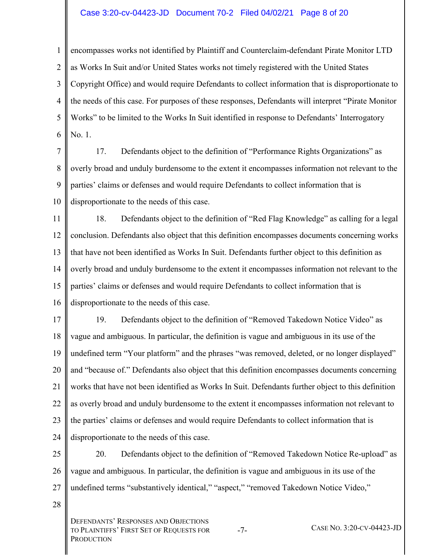#### Case 3:20-cv-04423-JD Document 70-2 Filed 04/02/21 Page 8 of 20

1  $\mathfrak{D}$ 3 4 5 6 encompasses works not identified by Plaintiff and Counterclaim-defendant Pirate Monitor LTD as Works In Suit and/or United States works not timely registered with the United States Copyright Office) and would require Defendants to collect information that is disproportionate to the needs of this case. For purposes of these responses, Defendants will interpret "Pirate Monitor Works" to be limited to the Works In Suit identified in response to Defendants' Interrogatory No. 1.

7 8 9 10 17. Defendants object to the definition of "Performance Rights Organizations" as overly broad and unduly burdensome to the extent it encompasses information not relevant to the parties' claims or defenses and would require Defendants to collect information that is disproportionate to the needs of this case.

11 12 13 14 15 16 18. Defendants object to the definition of "Red Flag Knowledge" as calling for a legal conclusion. Defendants also object that this definition encompasses documents concerning works that have not been identified as Works In Suit. Defendants further object to this definition as overly broad and unduly burdensome to the extent it encompasses information not relevant to the parties' claims or defenses and would require Defendants to collect information that is disproportionate to the needs of this case.

17 18 19 20 21 22 23 24 19. Defendants object to the definition of "Removed Takedown Notice Video" as vague and ambiguous. In particular, the definition is vague and ambiguous in its use of the undefined term "Your platform" and the phrases "was removed, deleted, or no longer displayed" and "because of." Defendants also object that this definition encompasses documents concerning works that have not been identified as Works In Suit. Defendants further object to this definition as overly broad and unduly burdensome to the extent it encompasses information not relevant to the parties' claims or defenses and would require Defendants to collect information that is disproportionate to the needs of this case.

25 26 27 20. Defendants object to the definition of "Removed Takedown Notice Re-upload" as vague and ambiguous. In particular, the definition is vague and ambiguous in its use of the undefined terms "substantively identical," "aspect," "removed Takedown Notice Video,"

28

DEFENDANTS' RESPONSES AND OBJECTIONS TO PLAINTIFFS' FIRST SET OF REQUESTS FOR **PRODUCTION** 

-7- CASE NO. 3:20-CV-04423-JD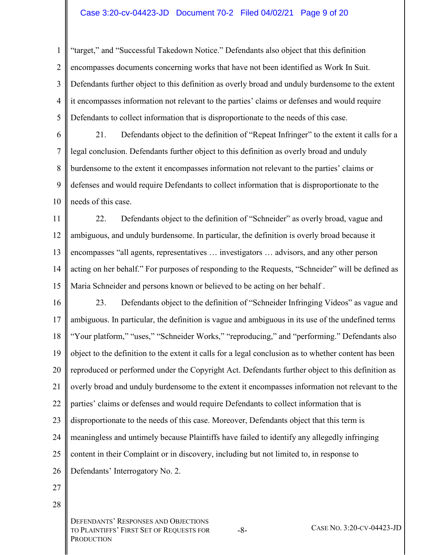#### Case 3:20-cv-04423-JD Document 70-2 Filed 04/02/21 Page 9 of 20

1  $\mathfrak{D}$ 3 4 5 "target," and "Successful Takedown Notice." Defendants also object that this definition encompasses documents concerning works that have not been identified as Work In Suit. Defendants further object to this definition as overly broad and unduly burdensome to the extent it encompasses information not relevant to the parties' claims or defenses and would require Defendants to collect information that is disproportionate to the needs of this case.

6 7 8 9 10 21. Defendants object to the definition of "Repeat Infringer" to the extent it calls for a legal conclusion. Defendants further object to this definition as overly broad and unduly burdensome to the extent it encompasses information not relevant to the parties' claims or defenses and would require Defendants to collect information that is disproportionate to the needs of this case.

11 12 13 14 15 22. Defendants object to the definition of "Schneider" as overly broad, vague and ambiguous, and unduly burdensome. In particular, the definition is overly broad because it encompasses "all agents, representatives … investigators … advisors, and any other person acting on her behalf." For purposes of responding to the Requests, "Schneider" will be defined as Maria Schneider and persons known or believed to be acting on her behalf .

16 17 18 19 20 21 22 23 24 25 26 23. Defendants object to the definition of "Schneider Infringing Videos" as vague and ambiguous. In particular, the definition is vague and ambiguous in its use of the undefined terms "Your platform," "uses," "Schneider Works," "reproducing," and "performing." Defendants also object to the definition to the extent it calls for a legal conclusion as to whether content has been reproduced or performed under the Copyright Act. Defendants further object to this definition as overly broad and unduly burdensome to the extent it encompasses information not relevant to the parties' claims or defenses and would require Defendants to collect information that is disproportionate to the needs of this case. Moreover, Defendants object that this term is meaningless and untimely because Plaintiffs have failed to identify any allegedly infringing content in their Complaint or in discovery, including but not limited to, in response to Defendants' Interrogatory No. 2.

- 27
- 28

DEFENDANTS' RESPONSES AND OBJECTIONS TO PLAINTIFFS' FIRST SET OF REQUESTS FOR **PRODUCTION** 

-8- CASE NO. 3:20-CV-04423-JD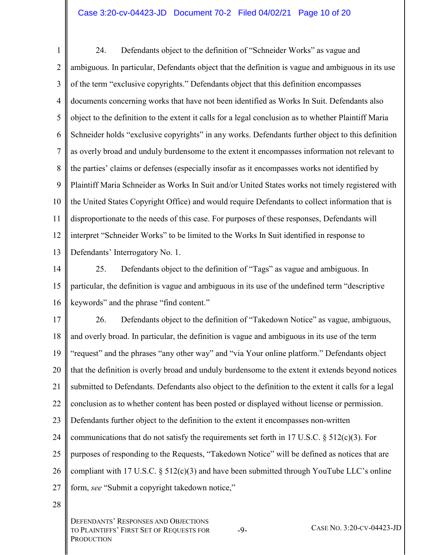#### Case 3:20-cv-04423-JD Document 70-2 Filed 04/02/21 Page 10 of 20

1  $\mathfrak{D}$ 3 4 5 6 7 8 9 10 11 12 13 24. Defendants object to the definition of "Schneider Works" as vague and ambiguous. In particular, Defendants object that the definition is vague and ambiguous in its use of the term "exclusive copyrights." Defendants object that this definition encompasses documents concerning works that have not been identified as Works In Suit. Defendants also object to the definition to the extent it calls for a legal conclusion as to whether Plaintiff Maria Schneider holds "exclusive copyrights" in any works. Defendants further object to this definition as overly broad and unduly burdensome to the extent it encompasses information not relevant to the parties' claims or defenses (especially insofar as it encompasses works not identified by Plaintiff Maria Schneider as Works In Suit and/or United States works not timely registered with the United States Copyright Office) and would require Defendants to collect information that is disproportionate to the needs of this case. For purposes of these responses, Defendants will interpret "Schneider Works" to be limited to the Works In Suit identified in response to Defendants' Interrogatory No. 1.

14

15 16 25. Defendants object to the definition of "Tags" as vague and ambiguous. In particular, the definition is vague and ambiguous in its use of the undefined term "descriptive keywords" and the phrase "find content."

17 18 19 20 21 22 23 24 25 26 27 26. Defendants object to the definition of "Takedown Notice" as vague, ambiguous, and overly broad. In particular, the definition is vague and ambiguous in its use of the term "request" and the phrases "any other way" and "via Your online platform." Defendants object that the definition is overly broad and unduly burdensome to the extent it extends beyond notices submitted to Defendants. Defendants also object to the definition to the extent it calls for a legal conclusion as to whether content has been posted or displayed without license or permission. Defendants further object to the definition to the extent it encompasses non-written communications that do not satisfy the requirements set forth in 17 U.S.C. § 512(c)(3). For purposes of responding to the Requests, "Takedown Notice" will be defined as notices that are compliant with 17 U.S.C. § 512(c)(3) and have been submitted through YouTube LLC's online form, *see* "Submit a copyright takedown notice,"

28

DEFENDANTS' RESPONSES AND OBJECTIONS TO PLAINTIFFS' FIRST SET OF REQUESTS FOR **PRODUCTION** 

-9- CASE NO. 3:20-CV-04423-JD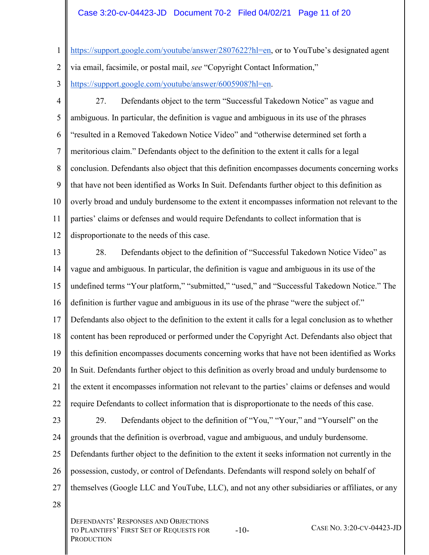#### Case 3:20-cv-04423-JD Document 70-2 Filed 04/02/21 Page 11 of 20

- 1 https://support.google.com/youtube/answer/2807622?hl=en, or to YouTube's designated agent
- $\mathfrak{D}$ via email, facsimile, or postal mail, *see* "Copyright Contact Information,"
- 3 [https://support.google.com/youtube/answer/6005908?hl=en.](https://support.google.com/youtube/answer/6005908?hl=en)
- 

4 5 6 7 8 9 10 11 12 27. Defendants object to the term "Successful Takedown Notice" as vague and ambiguous. In particular, the definition is vague and ambiguous in its use of the phrases "resulted in a Removed Takedown Notice Video" and "otherwise determined set forth a meritorious claim." Defendants object to the definition to the extent it calls for a legal conclusion. Defendants also object that this definition encompasses documents concerning works that have not been identified as Works In Suit. Defendants further object to this definition as overly broad and unduly burdensome to the extent it encompasses information not relevant to the parties' claims or defenses and would require Defendants to collect information that is disproportionate to the needs of this case.

13 14 15 16 17 18 19 20 21 22 23 24 25 26 28. Defendants object to the definition of "Successful Takedown Notice Video" as vague and ambiguous. In particular, the definition is vague and ambiguous in its use of the undefined terms "Your platform," "submitted," "used," and "Successful Takedown Notice." The definition is further vague and ambiguous in its use of the phrase "were the subject of." Defendants also object to the definition to the extent it calls for a legal conclusion as to whether content has been reproduced or performed under the Copyright Act. Defendants also object that this definition encompasses documents concerning works that have not been identified as Works In Suit. Defendants further object to this definition as overly broad and unduly burdensome to the extent it encompasses information not relevant to the parties' claims or defenses and would require Defendants to collect information that is disproportionate to the needs of this case. 29. Defendants object to the definition of "You," "Your," and "Yourself" on the grounds that the definition is overbroad, vague and ambiguous, and unduly burdensome. Defendants further object to the definition to the extent it seeks information not currently in the possession, custody, or control of Defendants. Defendants will respond solely on behalf of

- 27 themselves (Google LLC and YouTube, LLC), and not any other subsidiaries or affiliates, or any
- 28

DEFENDANTS' RESPONSES AND OBJECTIONS TO PLAINTIFFS' FIRST SET OF REQUESTS FOR **PRODUCTION** 

-10- CASE NO. 3:20-CV-04423-JD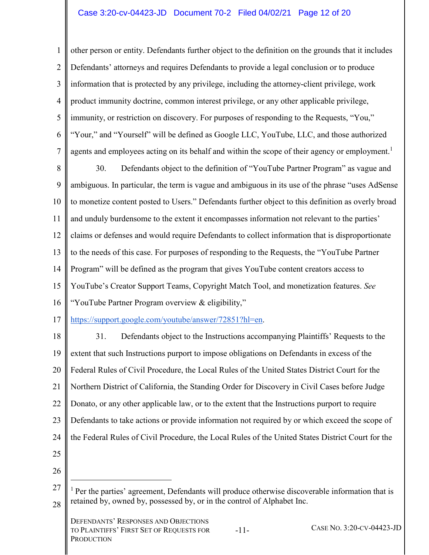1  $\mathfrak{D}$ 3 4 5 6 7 other person or entity. Defendants further object to the definition on the grounds that it includes Defendants' attorneys and requires Defendants to provide a legal conclusion or to produce information that is protected by any privilege, including the attorney-client privilege, work product immunity doctrine, common interest privilege, or any other applicable privilege, immunity, or restriction on discovery. For purposes of responding to the Requests, "You," "Your," and "Yourself" will be defined as Google LLC, YouTube, LLC, and those authorized agents and employees acting on its behalf and within the scope of their agency or employment.<sup>1</sup>

8 9 10 11 12 13 14 15 16 30. Defendants object to the definition of "YouTube Partner Program" as vague and ambiguous. In particular, the term is vague and ambiguous in its use of the phrase "uses AdSense to monetize content posted to Users." Defendants further object to this definition as overly broad and unduly burdensome to the extent it encompasses information not relevant to the parties' claims or defenses and would require Defendants to collect information that is disproportionate to the needs of this case. For purposes of responding to the Requests, the "YouTube Partner Program" will be defined as the program that gives YouTube content creators access to YouTube's Creator Support Teams, Copyright Match Tool, and monetization features. *See* "YouTube Partner Program overview & eligibility,"

17 [https://support.google.com/youtube/answer/72851?hl=en.](https://support.google.com/youtube/answer/72851?hl=en)

18 19 20 21 22 23 24 25 26 31. Defendants object to the Instructions accompanying Plaintiffs' Requests to the extent that such Instructions purport to impose obligations on Defendants in excess of the Federal Rules of Civil Procedure, the Local Rules of the United States District Court for the Northern District of California, the Standing Order for Discovery in Civil Cases before Judge Donato, or any other applicable law, or to the extent that the Instructions purport to require Defendants to take actions or provide information not required by or which exceed the scope of the Federal Rules of Civil Procedure, the Local Rules of the United States District Court for the

 $\overline{a}$ 

<sup>27</sup>  28  $<sup>1</sup>$  Per the parties' agreement, Defendants will produce otherwise discoverable information that is</sup> retained by, owned by, possessed by, or in the control of Alphabet Inc.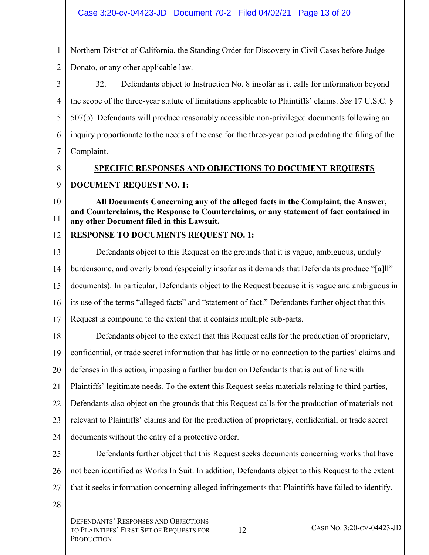1 Northern District of California, the Standing Order for Discovery in Civil Cases before Judge

2 Donato, or any other applicable law.

3 4 5 6 7 32. Defendants object to Instruction No. 8 insofar as it calls for information beyond the scope of the three-year statute of limitations applicable to Plaintiffs' claims. *See* 17 U.S.C. § 507(b). Defendants will produce reasonably accessible non-privileged documents following an inquiry proportionate to the needs of the case for the three-year period predating the filing of the Complaint.

8

## **SPECIFIC RESPONSES AND OBJECTIONS TO DOCUMENT REQUESTS**

9

## **DOCUMENT REQUEST NO. 1:**

10 11 **All Documents Concerning any of the alleged facts in the Complaint, the Answer, and Counterclaims, the Response to Counterclaims, or any statement of fact contained in any other Document filed in this Lawsuit.** 

#### 12 **RESPONSE TO DOCUMENTS REQUEST NO. 1:**

13 14 15 16 17 Defendants object to this Request on the grounds that it is vague, ambiguous, unduly burdensome, and overly broad (especially insofar as it demands that Defendants produce "[a]ll" documents). In particular, Defendants object to the Request because it is vague and ambiguous in its use of the terms "alleged facts" and "statement of fact." Defendants further object that this Request is compound to the extent that it contains multiple sub-parts.

18 19 20 21 22 23 24 Defendants object to the extent that this Request calls for the production of proprietary, confidential, or trade secret information that has little or no connection to the parties' claims and defenses in this action, imposing a further burden on Defendants that is out of line with Plaintiffs' legitimate needs. To the extent this Request seeks materials relating to third parties, Defendants also object on the grounds that this Request calls for the production of materials not relevant to Plaintiffs' claims and for the production of proprietary, confidential, or trade secret documents without the entry of a protective order.

25 26 27 Defendants further object that this Request seeks documents concerning works that have not been identified as Works In Suit. In addition, Defendants object to this Request to the extent that it seeks information concerning alleged infringements that Plaintiffs have failed to identify.

28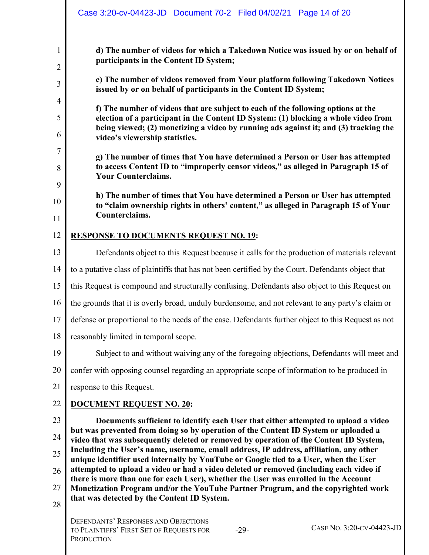|                | Case 3:20-cv-04423-JD  Document 70-2  Filed 04/02/21  Page 14 of 20                                                                                                                                           |
|----------------|---------------------------------------------------------------------------------------------------------------------------------------------------------------------------------------------------------------|
| $\mathbf{1}$   | d) The number of videos for which a Takedown Notice was issued by or on behalf of<br>participants in the Content ID System;                                                                                   |
| $\overline{2}$ |                                                                                                                                                                                                               |
| 3              | e) The number of videos removed from Your platform following Takedown Notices<br>issued by or on behalf of participants in the Content ID System;                                                             |
| $\overline{4}$ | f) The number of videos that are subject to each of the following options at the                                                                                                                              |
| 5<br>6         | election of a participant in the Content ID System: (1) blocking a whole video from<br>being viewed; (2) monetizing a video by running ads against it; and (3) tracking the<br>video's viewership statistics. |
| $\tau$         |                                                                                                                                                                                                               |
| 8              | g) The number of times that You have determined a Person or User has attempted<br>to access Content ID to "improperly censor videos," as alleged in Paragraph 15 of<br><b>Your Counterclaims.</b>             |
| 9              |                                                                                                                                                                                                               |
| 10             | h) The number of times that You have determined a Person or User has attempted<br>to "claim ownership rights in others' content," as alleged in Paragraph 15 of Your                                          |
| 11             | Counterclaims.                                                                                                                                                                                                |
| 12             | <b>RESPONSE TO DOCUMENTS REQUEST NO. 19:</b>                                                                                                                                                                  |
| 13             | Defendants object to this Request because it calls for the production of materials relevant                                                                                                                   |
| 14             | to a putative class of plaintiffs that has not been certified by the Court. Defendants object that                                                                                                            |
| 15             | this Request is compound and structurally confusing. Defendants also object to this Request on                                                                                                                |
| 16             | the grounds that it is overly broad, unduly burdensome, and not relevant to any party's claim or                                                                                                              |
| 17             | defense or proportional to the needs of the case. Defendants further object to this Request as not                                                                                                            |
| 18             | reasonably limited in temporal scope.                                                                                                                                                                         |
| 19             | Subject to and without waiving any of the foregoing objections, Defendants will meet and                                                                                                                      |
| 20             | confer with opposing counsel regarding an appropriate scope of information to be produced in                                                                                                                  |
| 21             | response to this Request.                                                                                                                                                                                     |
| 22             | <b>DOCUMENT REQUEST NO. 20:</b>                                                                                                                                                                               |
| 23             | Documents sufficient to identify each User that either attempted to upload a video                                                                                                                            |
| 24             | but was prevented from doing so by operation of the Content ID System or uploaded a<br>video that was subsequently deleted or removed by operation of the Content ID System,                                  |
| 25             | Including the User's name, username, email address, IP address, affiliation, any other<br>unique identifier used internally by YouTube or Google tied to a User, when the User                                |
| 26             | attempted to upload a video or had a video deleted or removed (including each video if                                                                                                                        |
| 27             | there is more than one for each User), whether the User was enrolled in the Account<br>Monetization Program and/or the YouTube Partner Program, and the copyrighted work                                      |
| 28             | that was detected by the Content ID System.                                                                                                                                                                   |
|                | DEFENDANTS' RESPONSES AND OBJECTIONS<br>CASE NO. 3:20-CV-04423-JD<br>TO PLAINTIFFS' FIRST SET OF REQUESTS FOR<br>$-29-$                                                                                       |

PRODUCTION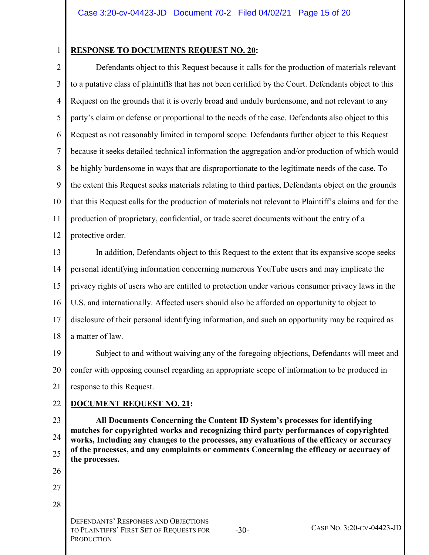1

#### **RESPONSE TO DOCUMENTS REQUEST NO. 20:**

2 3 4 5 6 7 8 9 10 11 12 Defendants object to this Request because it calls for the production of materials relevant to a putative class of plaintiffs that has not been certified by the Court. Defendants object to this Request on the grounds that it is overly broad and unduly burdensome, and not relevant to any party's claim or defense or proportional to the needs of the case. Defendants also object to this Request as not reasonably limited in temporal scope. Defendants further object to this Request because it seeks detailed technical information the aggregation and/or production of which would be highly burdensome in ways that are disproportionate to the legitimate needs of the case. To the extent this Request seeks materials relating to third parties, Defendants object on the grounds that this Request calls for the production of materials not relevant to Plaintiff's claims and for the production of proprietary, confidential, or trade secret documents without the entry of a protective order.

13 14 15 16 17 18 In addition, Defendants object to this Request to the extent that its expansive scope seeks personal identifying information concerning numerous YouTube users and may implicate the privacy rights of users who are entitled to protection under various consumer privacy laws in the U.S. and internationally. Affected users should also be afforded an opportunity to object to disclosure of their personal identifying information, and such an opportunity may be required as a matter of law.

19 20 21 Subject to and without waiving any of the foregoing objections, Defendants will meet and confer with opposing counsel regarding an appropriate scope of information to be produced in response to this Request.

#### 22 **DOCUMENT REQUEST NO. 21:**

23

24 25 **All Documents Concerning the Content ID System's processes for identifying matches for copyrighted works and recognizing third party performances of copyrighted works, Including any changes to the processes, any evaluations of the efficacy or accuracy of the processes, and any complaints or comments Concerning the efficacy or accuracy of the processes.** 

27 28

> DEFENDANTS' RESPONSES AND OBJECTIONS TO PLAINTIFFS' FIRST SET OF REQUESTS FOR **PRODUCTION**

-30- CASE NO. 3:20-CV-04423-JD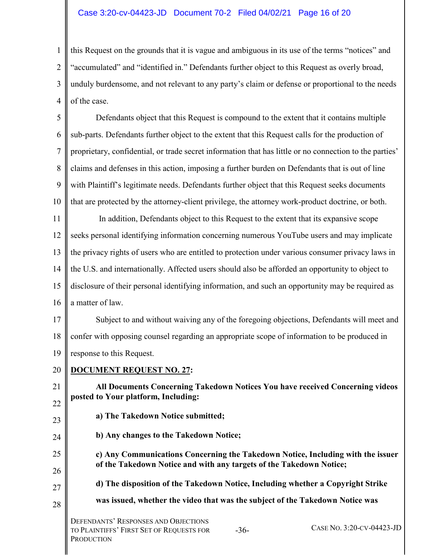#### Case 3:20-cv-04423-JD Document 70-2 Filed 04/02/21 Page 16 of 20

1  $\mathfrak{D}$ 3 4 this Request on the grounds that it is vague and ambiguous in its use of the terms "notices" and "accumulated" and "identified in." Defendants further object to this Request as overly broad, unduly burdensome, and not relevant to any party's claim or defense or proportional to the needs of the case.

5 6 7 8 9 10 Defendants object that this Request is compound to the extent that it contains multiple sub-parts. Defendants further object to the extent that this Request calls for the production of proprietary, confidential, or trade secret information that has little or no connection to the parties' claims and defenses in this action, imposing a further burden on Defendants that is out of line with Plaintiff's legitimate needs. Defendants further object that this Request seeks documents that are protected by the attorney-client privilege, the attorney work-product doctrine, or both.

11 12 13 14 15 16 In addition, Defendants object to this Request to the extent that its expansive scope seeks personal identifying information concerning numerous YouTube users and may implicate the privacy rights of users who are entitled to protection under various consumer privacy laws in the U.S. and internationally. Affected users should also be afforded an opportunity to object to disclosure of their personal identifying information, and such an opportunity may be required as a matter of law.

17 18 19 Subject to and without waiving any of the foregoing objections, Defendants will meet and confer with opposing counsel regarding an appropriate scope of information to be produced in response to this Request.

20 **DOCUMENT REQUEST NO. 27:** 

21

22

23

24

25

26

27

**All Documents Concerning Takedown Notices You have received Concerning videos posted to Your platform, Including:** 

- **a) The Takedown Notice submitted;**
- **b) Any changes to the Takedown Notice;**

**c) Any Communications Concerning the Takedown Notice, Including with the issuer of the Takedown Notice and with any targets of the Takedown Notice;** 

- **d) The disposition of the Takedown Notice, Including whether a Copyright Strike**
- 28 **was issued, whether the video that was the subject of the Takedown Notice was**

-36- CASE NO. 3:20-CV-04423-JD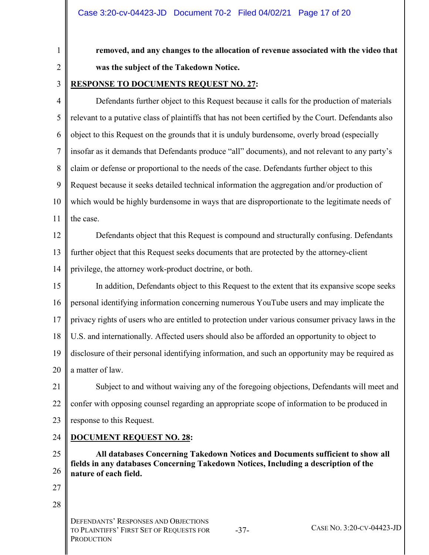**removed, and any changes to the allocation of revenue associated with the video that was the subject of the Takedown Notice.** 

2 3

1

### **RESPONSE TO DOCUMENTS REQUEST NO. 27:**

4 5 6 7 8 9 10 11 Defendants further object to this Request because it calls for the production of materials relevant to a putative class of plaintiffs that has not been certified by the Court. Defendants also object to this Request on the grounds that it is unduly burdensome, overly broad (especially insofar as it demands that Defendants produce "all" documents), and not relevant to any party's claim or defense or proportional to the needs of the case. Defendants further object to this Request because it seeks detailed technical information the aggregation and/or production of which would be highly burdensome in ways that are disproportionate to the legitimate needs of the case.

12 13 14 Defendants object that this Request is compound and structurally confusing. Defendants further object that this Request seeks documents that are protected by the attorney-client privilege, the attorney work-product doctrine, or both.

15 16 17 18 19 20 In addition, Defendants object to this Request to the extent that its expansive scope seeks personal identifying information concerning numerous YouTube users and may implicate the privacy rights of users who are entitled to protection under various consumer privacy laws in the U.S. and internationally. Affected users should also be afforded an opportunity to object to disclosure of their personal identifying information, and such an opportunity may be required as a matter of law.

21 22 23 Subject to and without waiving any of the foregoing objections, Defendants will meet and confer with opposing counsel regarding an appropriate scope of information to be produced in response to this Request.

#### 24 **DOCUMENT REQUEST NO. 28:**

25 26 **All databases Concerning Takedown Notices and Documents sufficient to show all fields in any databases Concerning Takedown Notices, Including a description of the nature of each field.** 

- 27
- 28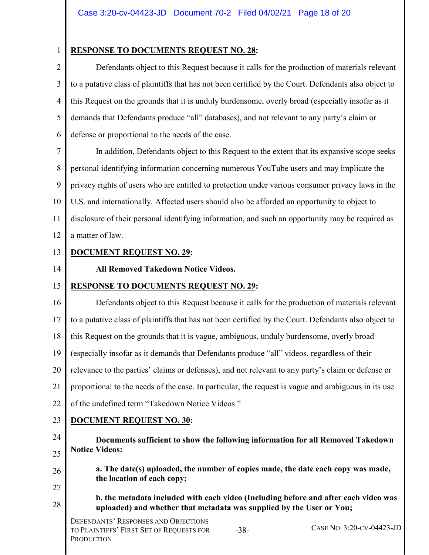1

#### **RESPONSE TO DOCUMENTS REQUEST NO. 28:**

2 3 4 5 6 Defendants object to this Request because it calls for the production of materials relevant to a putative class of plaintiffs that has not been certified by the Court. Defendants also object to this Request on the grounds that it is unduly burdensome, overly broad (especially insofar as it demands that Defendants produce "all" databases), and not relevant to any party's claim or defense or proportional to the needs of the case.

7 8 9 10 11 12 In addition, Defendants object to this Request to the extent that its expansive scope seeks personal identifying information concerning numerous YouTube users and may implicate the privacy rights of users who are entitled to protection under various consumer privacy laws in the U.S. and internationally. Affected users should also be afforded an opportunity to object to disclosure of their personal identifying information, and such an opportunity may be required as a matter of law.

13

### **DOCUMENT REQUEST NO. 29:**

#### 14

#### **All Removed Takedown Notice Videos.**

#### 15 **RESPONSE TO DOCUMENTS REQUEST NO. 29:**

16 17 18 19 20 21 22 23 24 25 26 27 28 Defendants object to this Request because it calls for the production of materials relevant to a putative class of plaintiffs that has not been certified by the Court. Defendants also object to this Request on the grounds that it is vague, ambiguous, unduly burdensome, overly broad (especially insofar as it demands that Defendants produce "all" videos, regardless of their relevance to the parties' claims or defenses), and not relevant to any party's claim or defense or proportional to the needs of the case. In particular, the request is vague and ambiguous in its use of the undefined term "Takedown Notice Videos." **DOCUMENT REQUEST NO. 30: Documents sufficient to show the following information for all Removed Takedown Notice Videos: a. The date(s) uploaded, the number of copies made, the date each copy was made, the location of each copy; b. the metadata included with each video (Including before and after each video was uploaded) and whether that metadata was supplied by the User or You;** 

DEFENDANTS' RESPONSES AND OBJECTIONS TO PLAINTIFFS' FIRST SET OF REQUESTS FOR **PRODUCTION** 

-38- CASE NO. 3:20-CV-04423-JD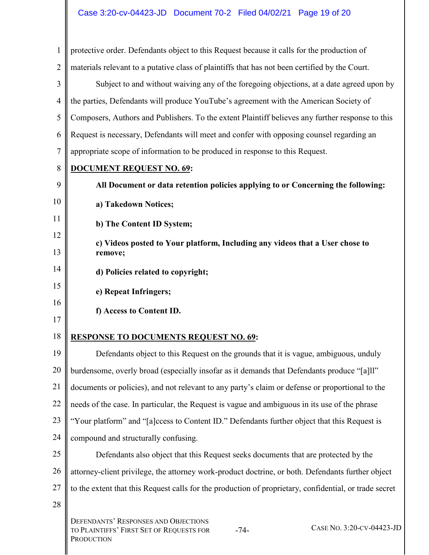| 1              | protective order. Defendants object to this Request because it calls for the production of                                                   |
|----------------|----------------------------------------------------------------------------------------------------------------------------------------------|
| $\overline{2}$ | materials relevant to a putative class of plaintiffs that has not been certified by the Court.                                               |
| 3              | Subject to and without waiving any of the foregoing objections, at a date agreed upon by                                                     |
| 4              | the parties, Defendants will produce YouTube's agreement with the American Society of                                                        |
| 5              | Composers, Authors and Publishers. To the extent Plaintiff believes any further response to this                                             |
| 6              | Request is necessary, Defendants will meet and confer with opposing counsel regarding an                                                     |
| 7              | appropriate scope of information to be produced in response to this Request.                                                                 |
| 8              | <b>DOCUMENT REQUEST NO. 69:</b>                                                                                                              |
| 9              | All Document or data retention policies applying to or Concerning the following:                                                             |
| 10             | a) Takedown Notices;                                                                                                                         |
| 11             | b) The Content ID System;                                                                                                                    |
| 12             | c) Videos posted to Your platform, Including any videos that a User chose to                                                                 |
| 13             | remove;                                                                                                                                      |
| 14             | d) Policies related to copyright;                                                                                                            |
| 15             | e) Repeat Infringers;                                                                                                                        |
| 16             | f) Access to Content ID.                                                                                                                     |
| 17             |                                                                                                                                              |
| 18             | <b>RESPONSE TO DOCUMENTS REQUEST NO. 69:</b>                                                                                                 |
| 19             | Defendants object to this Request on the grounds that it is vague, ambiguous, unduly                                                         |
| 20             | burdensome, overly broad (especially insofar as it demands that Defendants produce "[a]ll"                                                   |
| 21             | documents or policies), and not relevant to any party's claim or defense or proportional to the                                              |
| 22             | needs of the case. In particular, the Request is vague and ambiguous in its use of the phrase                                                |
| 23             | "Your platform" and "[a]ccess to Content ID." Defendants further object that this Request is                                                 |
| 24             | compound and structurally confusing.                                                                                                         |
| 25             | Defendants also object that this Request seeks documents that are protected by the                                                           |
| 26             | attorney-client privilege, the attorney work-product doctrine, or both. Defendants further object                                            |
| 27             | to the extent that this Request calls for the production of proprietary, confidential, or trade secret                                       |
| 28             |                                                                                                                                              |
|                | <b>DEFENDANTS' RESPONSES AND OBJECTIONS</b><br>CASE NO. 3:20-CV-04423-JD<br>TO PLAINTIFFS' FIRST SET OF REQUESTS FOR<br>$-74-$<br>PRODUCTION |

 $\overline{1}$